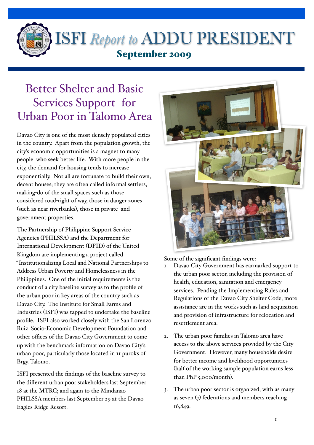

 $\overline{a}$ 

## ISFI *Report to* ADDU PRESIDENT September 2009

## Better Shelter and Basic Services Support for Urban Poor in Talomo Area

Davao City is one of the most densely populated cities in the country. Apart from the population growth, the city's economic opportunities is a magnet to many people who seek better life. With more people in the city, the demand for housing tends to increase exponentially. Not all are fortunate to build their own, decent houses; they are often called informal settlers, making-do of the small spaces such as those considered road-right of way, those in danger zones (such as near riverbanks), those in private and government properties.

The Partnership of Philippine Support Service Agencies (PHILSSA) and the Department for International Development (DFID) of the United Kingdom are implementing a project called "Institutionalizing Local and National Partnerships to Address Urban Poverty and Homelessness in the Philippines. One of the initial requirements is the conduct of a city baseline survey as to the profile of the urban poor in key areas of the country such as Davao City. The Institute for Small Farms and Industries (ISFI) was tapped to undertake the baseline profile. ISFI also worked closely with the San Lorenzo Ruiz Socio-Economic Development Foundation and other offices of the Davao City Government to come up with the benchmark information on Davao City's urban poor, particularly those located in 11 puroks of Brgy. Talomo.

ISFI presented the findings of the baseline survey to the different urban poor stakeholders last September 18 at the MTRC; and again to the Mindanao PHILSSA members last September 29 at the Davao Eagles Ridge Resort.



Some of the significant findings were:

- 1. Davao City Government has earmarked support to the urban poor sector, including the provision of health, education, sanitation and emergency services. Pending the Implementing Rules and Regulations of the Davao City Shelter Code, more assistance are in the works such as land acquisition and provision of infrastructure for relocation and resettlement area.
- 2. The urban poor families in Talomo area have access to the above services provided by the City Government. However, many households desire for better income and livelihood opportunities (half of the working sample population earns less than PhP 5,000/month).
- 3. The urban poor sector is organized, with as many as seven  $(7)$  federations and members reaching 16,849.